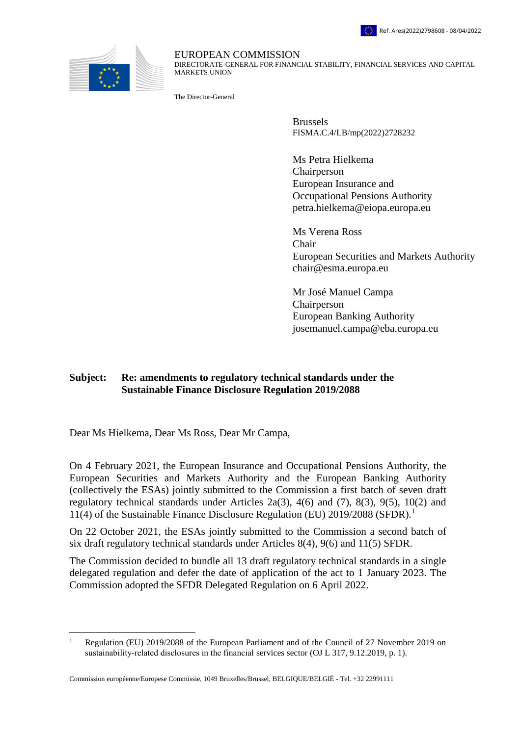



EUROPEAN COMMISSION

DIRECTORATE-GENERAL FOR FINANCIAL STABILITY, FINANCIAL SERVICES AND CAPITAL MARKETS UNION

The Director-General

Brussels FISMA.C.4/LB/mp(2022)2728232

Ms Petra Hielkema Chairperson European Insurance and Occupational Pensions Authority petra.hielkema@eiopa.europa.eu

Ms Verena Ross Chair European Securities and Markets Authority chair@esma.europa.eu

Mr José Manuel Campa Chairperson European Banking Authority josemanuel.campa@eba.europa.eu

## **Subject: Re: amendments to regulatory technical standards under the Sustainable Finance Disclosure Regulation 2019/2088**

Dear Ms Hielkema, Dear Ms Ross, Dear Mr Campa,

 $\overline{a}$ 

On 4 February 2021, the European Insurance and Occupational Pensions Authority, the European Securities and Markets Authority and the European Banking Authority (collectively the ESAs) jointly submitted to the Commission a first batch of seven draft regulatory technical standards under Articles 2a(3),  $4(6)$  and (7),  $8(3)$ ,  $9(5)$ ,  $10(2)$  and 11(4) of the Sustainable Finance Disclosure Regulation (EU) 2019/2088 (SFDR).<sup>1</sup>

On 22 October 2021, the ESAs jointly submitted to the Commission a second batch of six draft regulatory technical standards under Articles 8(4), 9(6) and 11(5) SFDR.

The Commission decided to bundle all 13 draft regulatory technical standards in a single delegated regulation and defer the date of application of the act to 1 January 2023. The Commission adopted the SFDR Delegated Regulation on 6 April 2022.

<sup>1</sup> Regulation (EU) 2019/2088 of the European Parliament and of the Council of 27 November 2019 on sustainability-related disclosures in the financial services sector (OJ L 317, 9.12.2019, p. 1).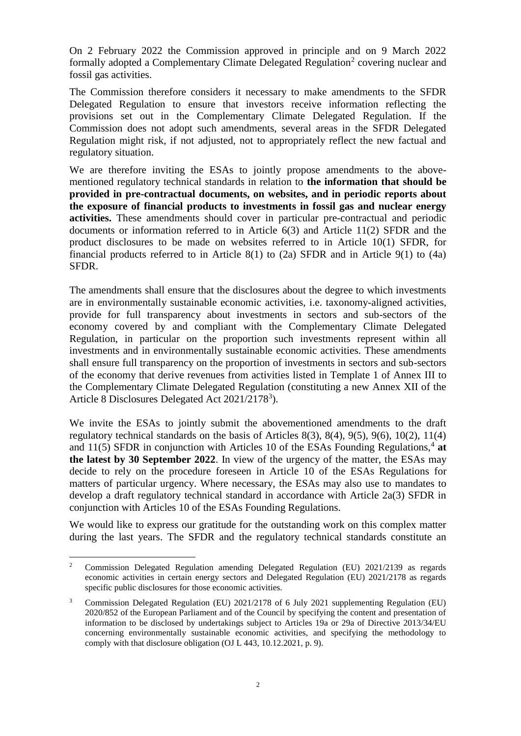On 2 February 2022 the Commission approved in principle and on 9 March 2022 formally adopted a Complementary Climate Delegated Regulation<sup>2</sup> covering nuclear and fossil gas activities.

The Commission therefore considers it necessary to make amendments to the SFDR Delegated Regulation to ensure that investors receive information reflecting the provisions set out in the Complementary Climate Delegated Regulation. If the Commission does not adopt such amendments, several areas in the SFDR Delegated Regulation might risk, if not adjusted, not to appropriately reflect the new factual and regulatory situation.

We are therefore inviting the ESAs to jointly propose amendments to the abovementioned regulatory technical standards in relation to **the information that should be provided in pre-contractual documents, on websites, and in periodic reports about the exposure of financial products to investments in fossil gas and nuclear energy activities.** These amendments should cover in particular pre-contractual and periodic documents or information referred to in Article 6(3) and Article 11(2) SFDR and the product disclosures to be made on websites referred to in Article 10(1) SFDR, for financial products referred to in Article  $8(1)$  to  $(2a)$  SFDR and in Article  $9(1)$  to  $(4a)$ SFDR.

The amendments shall ensure that the disclosures about the degree to which investments are in environmentally sustainable economic activities, i.e. taxonomy-aligned activities, provide for full transparency about investments in sectors and sub-sectors of the economy covered by and compliant with the Complementary Climate Delegated Regulation, in particular on the proportion such investments represent within all investments and in environmentally sustainable economic activities. These amendments shall ensure full transparency on the proportion of investments in sectors and sub-sectors of the economy that derive revenues from activities listed in Template 1 of Annex III to the Complementary Climate Delegated Regulation (constituting a new Annex XII of the Article 8 Disclosures Delegated Act 2021/2178<sup>3</sup>).

We invite the ESAs to jointly submit the abovementioned amendments to the draft regulatory technical standards on the basis of Articles 8(3), 8(4), 9(5), 9(6), 10(2), 11(4) and  $11(5)$  SFDR in conjunction with Articles 10 of the ESAs Founding Regulations,<sup>4</sup> at **the latest by 30 September 2022**. In view of the urgency of the matter, the ESAs may decide to rely on the procedure foreseen in Article 10 of the ESAs Regulations for matters of particular urgency. Where necessary, the ESAs may also use to mandates to develop a draft regulatory technical standard in accordance with Article 2a(3) SFDR in conjunction with Articles 10 of the ESAs Founding Regulations.

We would like to express our gratitude for the outstanding work on this complex matter during the last years. The SFDR and the regulatory technical standards constitute an

 $\overline{a}$ <sup>2</sup> Commission Delegated Regulation amending Delegated Regulation (EU) 2021/2139 as regards economic activities in certain energy sectors and Delegated Regulation (EU) 2021/2178 as regards specific public disclosures for those economic activities.

<sup>&</sup>lt;sup>3</sup> Commission Delegated Regulation (EU) 2021/2178 of 6 July 2021 supplementing Regulation (EU) 2020/852 of the European Parliament and of the Council by specifying the content and presentation of information to be disclosed by undertakings subject to Articles 19a or 29a of Directive 2013/34/EU concerning environmentally sustainable economic activities, and specifying the methodology to comply with that disclosure obligation (OJ L 443, 10.12.2021, p. 9).